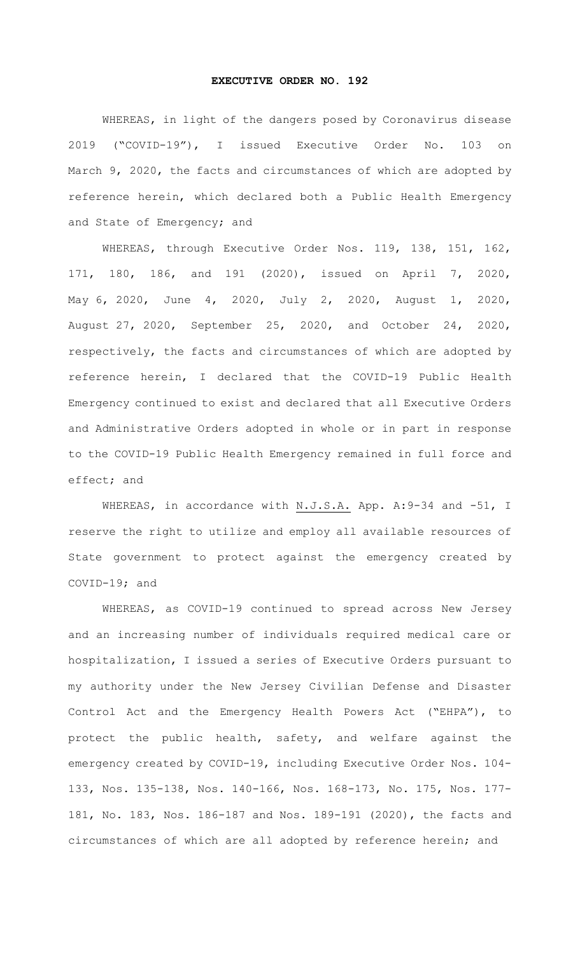## **EXECUTIVE ORDER NO. 192**

WHEREAS, in light of the dangers posed by Coronavirus disease 2019 ("COVID-19"), I issued Executive Order No. 103 on March 9, 2020, the facts and circumstances of which are adopted by reference herein, which declared both a Public Health Emergency and State of Emergency; and

WHEREAS, through Executive Order Nos. 119, 138, 151, 162, 171, 180, 186, and 191 (2020), issued on April 7, 2020, May 6, 2020, June 4, 2020, July 2, 2020, August 1, 2020, August 27, 2020, September 25, 2020, and October 24, 2020, respectively, the facts and circumstances of which are adopted by reference herein, I declared that the COVID-19 Public Health Emergency continued to exist and declared that all Executive Orders and Administrative Orders adopted in whole or in part in response to the COVID-19 Public Health Emergency remained in full force and effect; and

WHEREAS, in accordance with N.J.S.A. App. A:9-34 and -51, I reserve the right to utilize and employ all available resources of State government to protect against the emergency created by COVID-19; and

WHEREAS, as COVID-19 continued to spread across New Jersey and an increasing number of individuals required medical care or hospitalization, I issued a series of Executive Orders pursuant to my authority under the New Jersey Civilian Defense and Disaster Control Act and the Emergency Health Powers Act ("EHPA"), to protect the public health, safety, and welfare against the emergency created by COVID-19, including Executive Order Nos. 104- 133, Nos. 135-138, Nos. 140-166, Nos. 168-173, No. 175, Nos. 177- 181, No. 183, Nos. 186-187 and Nos. 189-191 (2020), the facts and circumstances of which are all adopted by reference herein; and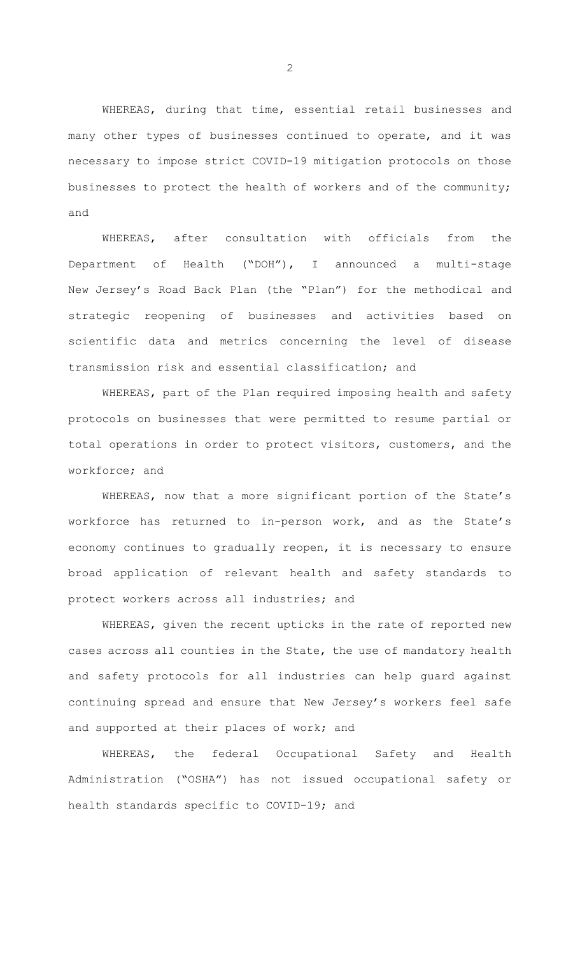WHEREAS, during that time, essential retail businesses and many other types of businesses continued to operate, and it was necessary to impose strict COVID-19 mitigation protocols on those businesses to protect the health of workers and of the community; and

WHEREAS, after consultation with officials from the Department of Health ("DOH"), I announced a multi-stage New Jersey's Road Back Plan (the "Plan") for the methodical and strategic reopening of businesses and activities based on scientific data and metrics concerning the level of disease transmission risk and essential classification; and

WHEREAS, part of the Plan required imposing health and safety protocols on businesses that were permitted to resume partial or total operations in order to protect visitors, customers, and the workforce; and

WHEREAS, now that a more significant portion of the State's workforce has returned to in-person work, and as the State's economy continues to gradually reopen, it is necessary to ensure broad application of relevant health and safety standards to protect workers across all industries; and

WHEREAS, given the recent upticks in the rate of reported new cases across all counties in the State, the use of mandatory health and safety protocols for all industries can help guard against continuing spread and ensure that New Jersey's workers feel safe and supported at their places of work; and

WHEREAS, the federal Occupational Safety and Health Administration ("OSHA") has not issued occupational safety or health standards specific to COVID-19; and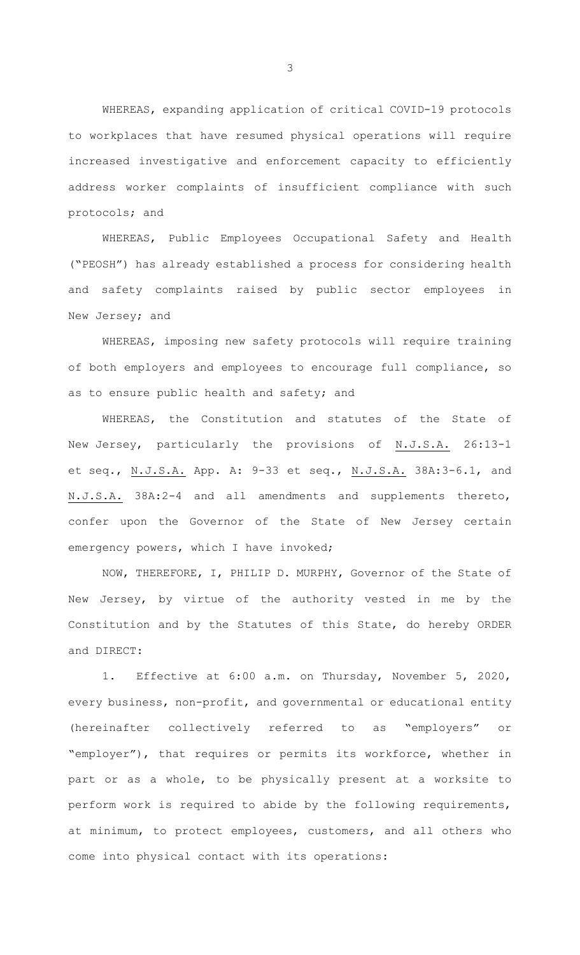WHEREAS, expanding application of critical COVID-19 protocols to workplaces that have resumed physical operations will require increased investigative and enforcement capacity to efficiently address worker complaints of insufficient compliance with such protocols; and

WHEREAS, Public Employees Occupational Safety and Health ("PEOSH") has already established a process for considering health and safety complaints raised by public sector employees in New Jersey; and

WHEREAS, imposing new safety protocols will require training of both employers and employees to encourage full compliance, so as to ensure public health and safety; and

WHEREAS, the Constitution and statutes of the State of New Jersey, particularly the provisions of N.J.S.A. 26:13-1 et seq., N.J.S.A. App. A: 9-33 et seq., N.J.S.A. 38A:3-6.1, and N.J.S.A. 38A:2-4 and all amendments and supplements thereto, confer upon the Governor of the State of New Jersey certain emergency powers, which I have invoked;

NOW, THEREFORE, I, PHILIP D. MURPHY, Governor of the State of New Jersey, by virtue of the authority vested in me by the Constitution and by the Statutes of this State, do hereby ORDER and DIRECT:

1. Effective at 6:00 a.m. on Thursday, November 5, 2020, every business, non-profit, and governmental or educational entity (hereinafter collectively referred to as "employers" or "employer"), that requires or permits its workforce, whether in part or as a whole, to be physically present at a worksite to perform work is required to abide by the following requirements, at minimum, to protect employees, customers, and all others who come into physical contact with its operations: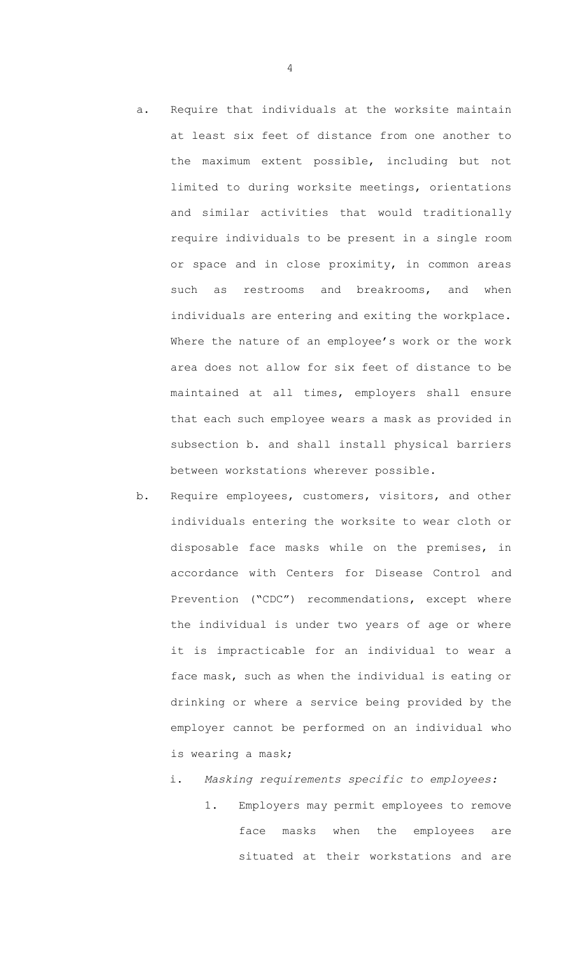- a. Require that individuals at the worksite maintain at least six feet of distance from one another to the maximum extent possible, including but not limited to during worksite meetings, orientations and similar activities that would traditionally require individuals to be present in a single room or space and in close proximity, in common areas such as restrooms and breakrooms, and when individuals are entering and exiting the workplace. Where the nature of an employee's work or the work area does not allow for six feet of distance to be maintained at all times, employers shall ensure that each such employee wears a mask as provided in subsection b. and shall install physical barriers between workstations wherever possible.
- b. Require employees, customers, visitors, and other individuals entering the worksite to wear cloth or disposable face masks while on the premises, in accordance with Centers for Disease Control and Prevention ("CDC") recommendations, except where the individual is under two years of age or where it is impracticable for an individual to wear a face mask, such as when the individual is eating or drinking or where a service being provided by the employer cannot be performed on an individual who is wearing a mask;

## i. *Masking requirements specific to employees:*

1. Employers may permit employees to remove face masks when the employees are situated at their workstations and are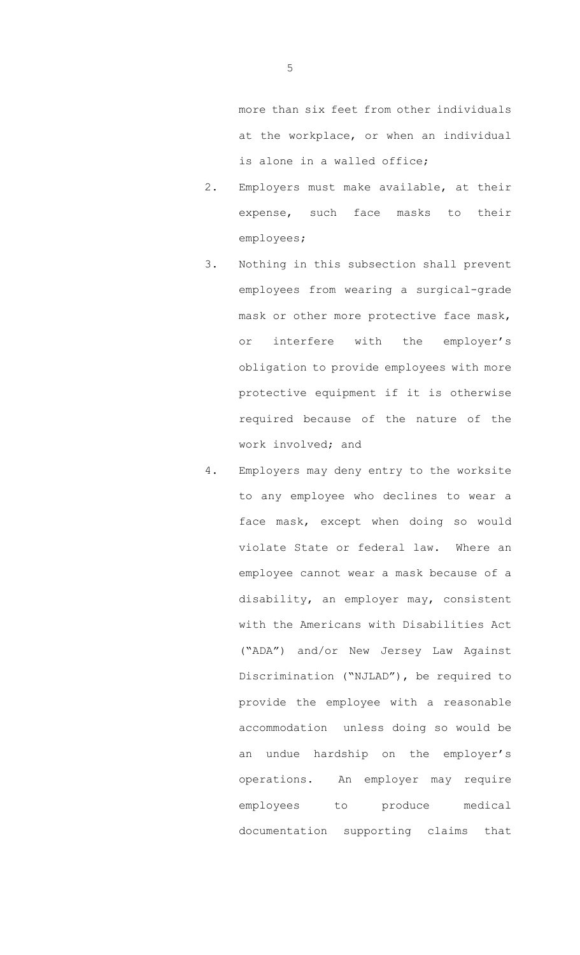more than six feet from other individuals at the workplace, or when an individual is alone in a walled office;

- 2. Employers must make available, at their expense, such face masks to their employees;
- 3. Nothing in this subsection shall prevent employees from wearing a surgical-grade mask or other more protective face mask, or interfere with the employer's obligation to provide employees with more protective equipment if it is otherwise required because of the nature of the work involved; and
- 4. Employers may deny entry to the worksite to any employee who declines to wear a face mask, except when doing so would violate State or federal law. Where an employee cannot wear a mask because of a disability, an employer may, consistent with the Americans with Disabilities Act ("ADA") and/or New Jersey Law Against Discrimination ("NJLAD"), be required to provide the employee with a reasonable accommodation unless doing so would be an undue hardship on the employer's operations. An employer may require employees to produce medical documentation supporting claims that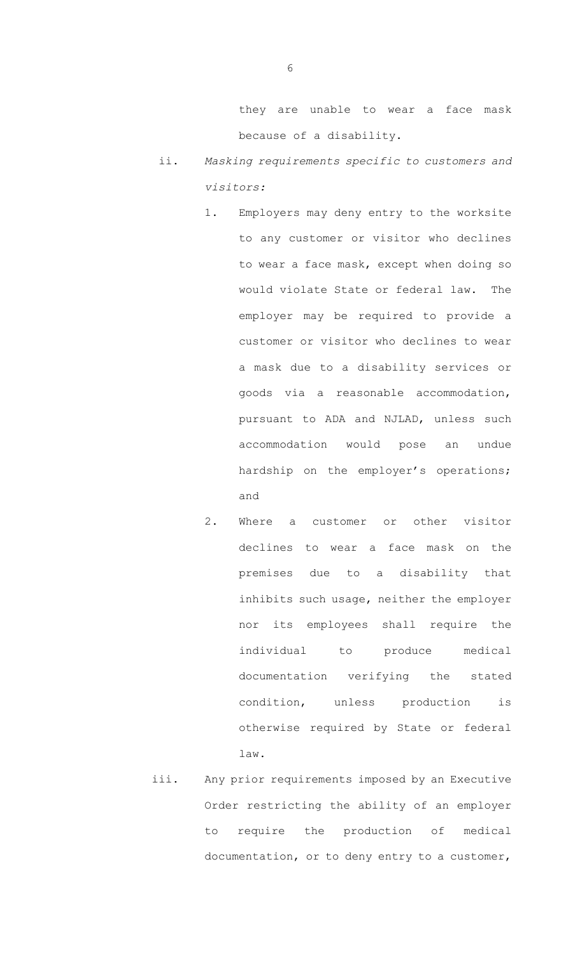they are unable to wear a face mask because of a disability.

- ii. *Masking requirements specific to customers and visitors:*
	- 1. Employers may deny entry to the worksite to any customer or visitor who declines to wear a face mask, except when doing so would violate State or federal law. The employer may be required to provide a customer or visitor who declines to wear a mask due to a disability services or goods via a reasonable accommodation, pursuant to ADA and NJLAD, unless such accommodation would pose an undue hardship on the employer's operations; and
	- 2. Where a customer or other visitor declines to wear a face mask on the premises due to a disability that inhibits such usage, neither the employer nor its employees shall require the individual to produce medical documentation verifying the stated condition, unless production is otherwise required by State or federal law.
- iii. Any prior requirements imposed by an Executive Order restricting the ability of an employer to require the production of medical documentation, or to deny entry to a customer,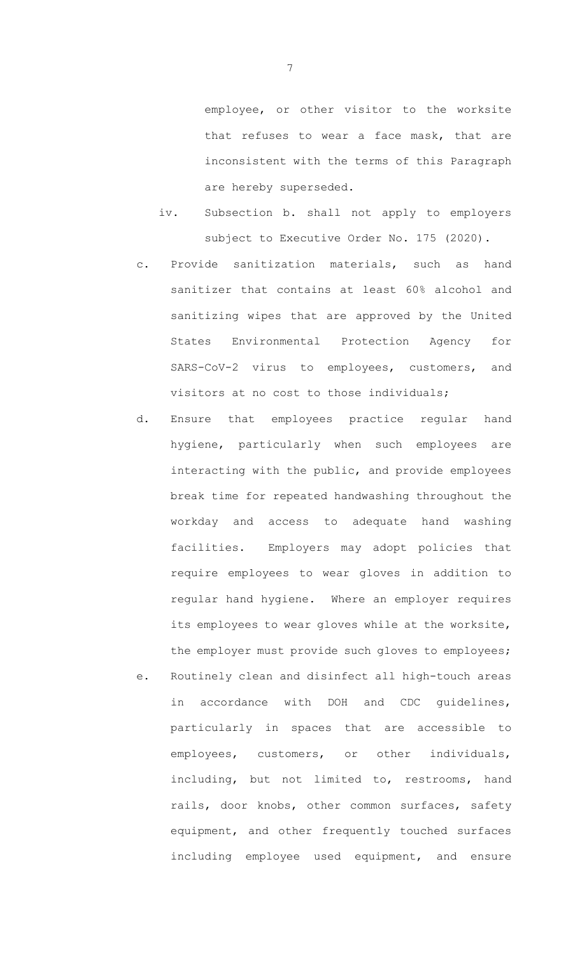employee, or other visitor to the worksite that refuses to wear a face mask, that are inconsistent with the terms of this Paragraph are hereby superseded.

- iv. Subsection b. shall not apply to employers subject to Executive Order No. 175 (2020).
- c. Provide sanitization materials, such as hand sanitizer that contains at least 60% alcohol and sanitizing wipes that are approved by the United States Environmental Protection Agency for SARS-CoV-2 virus to employees, customers, and visitors at no cost to those individuals;
- d. Ensure that employees practice regular hand hygiene, particularly when such employees are interacting with the public, and provide employees break time for repeated handwashing throughout the workday and access to adequate hand washing facilities. Employers may adopt policies that require employees to wear gloves in addition to regular hand hygiene. Where an employer requires its employees to wear gloves while at the worksite, the employer must provide such gloves to employees; e. Routinely clean and disinfect all high-touch areas
- in accordance with DOH and CDC guidelines, particularly in spaces that are accessible to employees, customers, or other individuals, including, but not limited to, restrooms, hand rails, door knobs, other common surfaces, safety equipment, and other frequently touched surfaces including employee used equipment, and ensure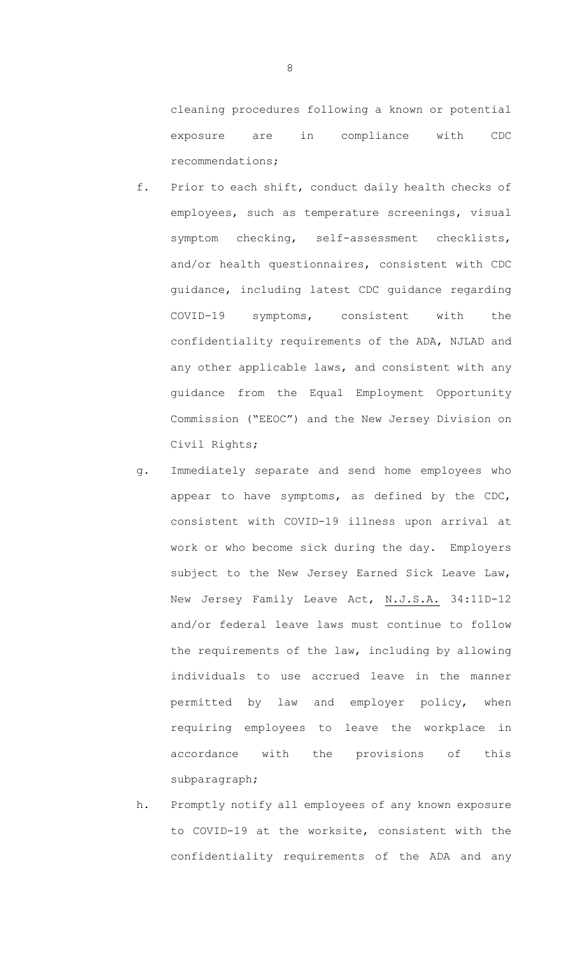cleaning procedures following a known or potential exposure are in compliance with CDC recommendations;

- f. Prior to each shift, conduct daily health checks of employees, such as temperature screenings, visual symptom checking, self-assessment checklists, and/or health questionnaires, consistent with CDC guidance, including latest CDC guidance regarding COVID-19 symptoms, consistent with the confidentiality requirements of the ADA, NJLAD and any other applicable laws, and consistent with any guidance from the Equal Employment Opportunity Commission ("EEOC") and the New Jersey Division on Civil Rights;
- g. Immediately separate and send home employees who appear to have symptoms, as defined by the CDC, consistent with COVID-19 illness upon arrival at work or who become sick during the day. Employers subject to the New Jersey Earned Sick Leave Law, New Jersey Family Leave Act, N.J.S.A. 34:11D-12 and/or federal leave laws must continue to follow the requirements of the law, including by allowing individuals to use accrued leave in the manner permitted by law and employer policy, when requiring employees to leave the workplace in accordance with the provisions of this subparagraph;
- h. Promptly notify all employees of any known exposure to COVID-19 at the worksite, consistent with the confidentiality requirements of the ADA and any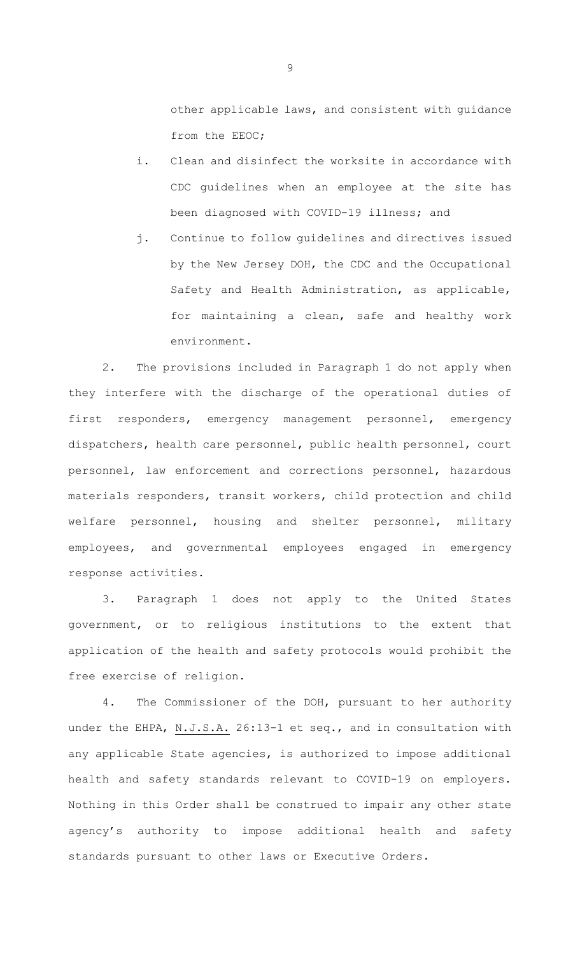other applicable laws, and consistent with guidance from the EEOC;

- i. Clean and disinfect the worksite in accordance with CDC guidelines when an employee at the site has been diagnosed with COVID-19 illness; and
- j. Continue to follow guidelines and directives issued by the New Jersey DOH, the CDC and the Occupational Safety and Health Administration, as applicable, for maintaining a clean, safe and healthy work environment.

2. The provisions included in Paragraph 1 do not apply when they interfere with the discharge of the operational duties of first responders, emergency management personnel, emergency dispatchers, health care personnel, public health personnel, court personnel, law enforcement and corrections personnel, hazardous materials responders, transit workers, child protection and child welfare personnel, housing and shelter personnel, military employees, and governmental employees engaged in emergency response activities.

3. Paragraph 1 does not apply to the United States government, or to religious institutions to the extent that application of the health and safety protocols would prohibit the free exercise of religion.

4. The Commissioner of the DOH, pursuant to her authority under the EHPA, N.J.S.A. 26:13-1 et seq., and in consultation with any applicable State agencies, is authorized to impose additional health and safety standards relevant to COVID-19 on employers. Nothing in this Order shall be construed to impair any other state agency's authority to impose additional health and safety standards pursuant to other laws or Executive Orders.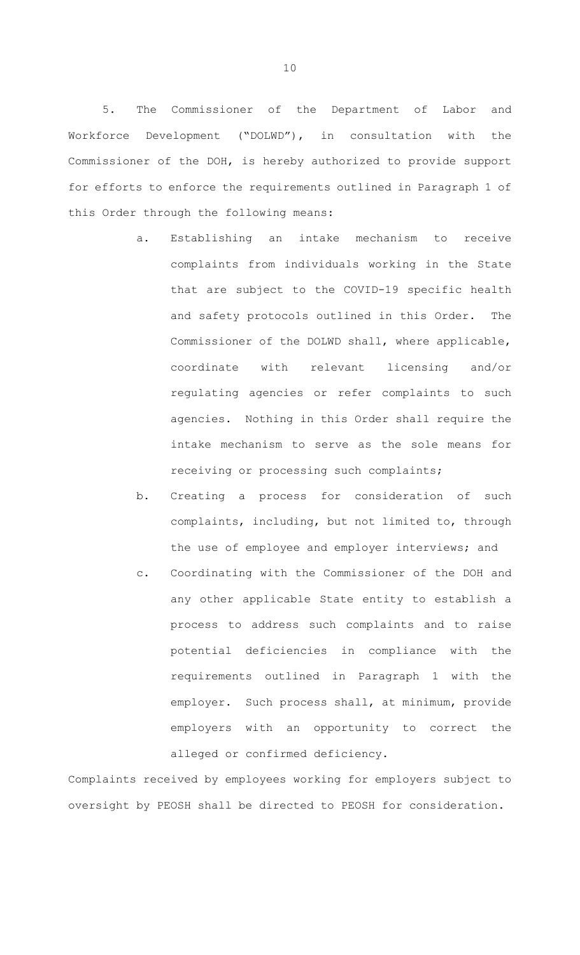5. The Commissioner of the Department of Labor and Workforce Development ("DOLWD"), in consultation with the Commissioner of the DOH, is hereby authorized to provide support for efforts to enforce the requirements outlined in Paragraph 1 of this Order through the following means:

- a. Establishing an intake mechanism to receive complaints from individuals working in the State that are subject to the COVID-19 specific health and safety protocols outlined in this Order. The Commissioner of the DOLWD shall, where applicable, coordinate with relevant licensing and/or regulating agencies or refer complaints to such agencies. Nothing in this Order shall require the intake mechanism to serve as the sole means for receiving or processing such complaints;
- b. Creating a process for consideration of such complaints, including, but not limited to, through the use of employee and employer interviews; and
- c. Coordinating with the Commissioner of the DOH and any other applicable State entity to establish a process to address such complaints and to raise potential deficiencies in compliance with the requirements outlined in Paragraph 1 with the employer. Such process shall, at minimum, provide employers with an opportunity to correct the alleged or confirmed deficiency.

Complaints received by employees working for employers subject to oversight by PEOSH shall be directed to PEOSH for consideration.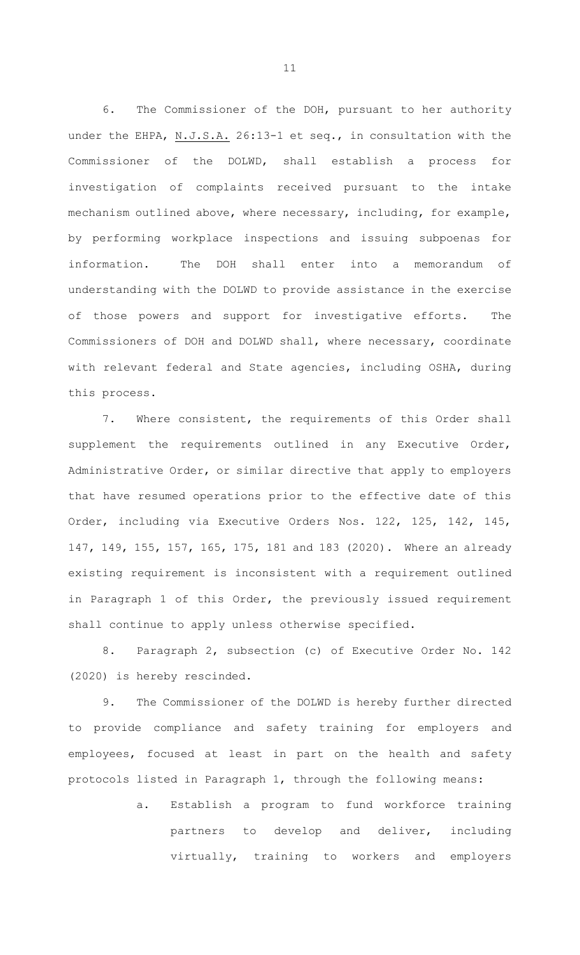6. The Commissioner of the DOH, pursuant to her authority under the EHPA, N.J.S.A. 26:13-1 et seq., in consultation with the Commissioner of the DOLWD, shall establish a process for investigation of complaints received pursuant to the intake mechanism outlined above, where necessary, including, for example, by performing workplace inspections and issuing subpoenas for information. The DOH shall enter into a memorandum of understanding with the DOLWD to provide assistance in the exercise of those powers and support for investigative efforts. The Commissioners of DOH and DOLWD shall, where necessary, coordinate with relevant federal and State agencies, including OSHA, during this process.

7. Where consistent, the requirements of this Order shall supplement the requirements outlined in any Executive Order, Administrative Order, or similar directive that apply to employers that have resumed operations prior to the effective date of this Order, including via Executive Orders Nos. 122, 125, 142, 145, 147, 149, 155, 157, 165, 175, 181 and 183 (2020). Where an already existing requirement is inconsistent with a requirement outlined in Paragraph 1 of this Order, the previously issued requirement shall continue to apply unless otherwise specified.

8. Paragraph 2, subsection (c) of Executive Order No. 142 (2020) is hereby rescinded.

9. The Commissioner of the DOLWD is hereby further directed to provide compliance and safety training for employers and employees, focused at least in part on the health and safety protocols listed in Paragraph 1, through the following means:

> a. Establish a program to fund workforce training partners to develop and deliver, including virtually, training to workers and employers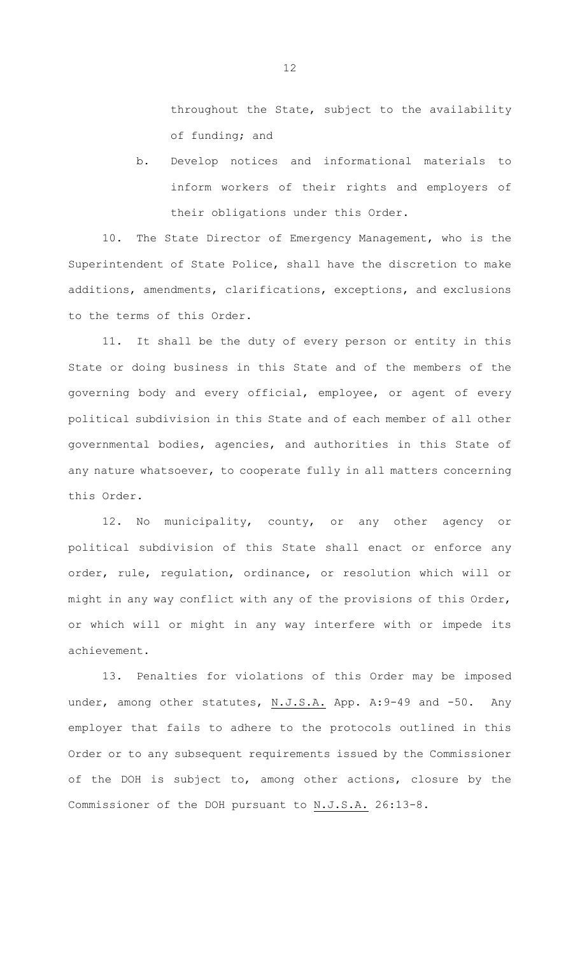throughout the State, subject to the availability of funding; and

b. Develop notices and informational materials to inform workers of their rights and employers of their obligations under this Order.

10. The State Director of Emergency Management, who is the Superintendent of State Police, shall have the discretion to make additions, amendments, clarifications, exceptions, and exclusions to the terms of this Order.

11. It shall be the duty of every person or entity in this State or doing business in this State and of the members of the governing body and every official, employee, or agent of every political subdivision in this State and of each member of all other governmental bodies, agencies, and authorities in this State of any nature whatsoever, to cooperate fully in all matters concerning this Order.

12. No municipality, county, or any other agency or political subdivision of this State shall enact or enforce any order, rule, regulation, ordinance, or resolution which will or might in any way conflict with any of the provisions of this Order, or which will or might in any way interfere with or impede its achievement.

13. Penalties for violations of this Order may be imposed under, among other statutes, N.J.S.A. App. A: 9-49 and -50. Any employer that fails to adhere to the protocols outlined in this Order or to any subsequent requirements issued by the Commissioner of the DOH is subject to, among other actions, closure by the Commissioner of the DOH pursuant to N.J.S.A. 26:13-8.